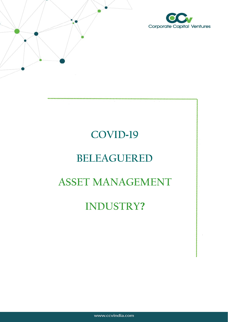

# **COVID-19**

# **BELEAGUERED**

# **ASSET MANAGEMENT**

# **INDUSTRY?**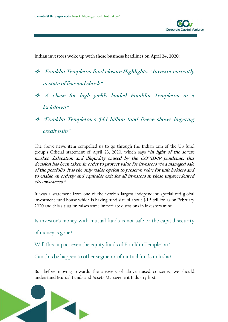

**Indian investors woke up with these business headlines on April 24, 2020:**

- **"Franklin Templeton fund closure Highlights: ' Investor currently in state of fear and shock"**
- **"A chase for high yields landed Franklin Templeton in <sup>a</sup> lockdown"**
- **"Franklin Templeton's \$4.1 billion fund freeze shows lingering credit pain"**

The above news item compelled us to go through the Indian arm of the US fund group's Official statement of April 23, 2020, which says "In light of the severe **market dislocation and illiquidity caused by the COVID***-***<sup>19</sup> pandemic, this decision has been taken in order to protect value for investors via <sup>a</sup> managed sale of the portfolio.It is the only viable option to preserve value for unit holders and to enable an orderly and equitable exit for all investors in these unprecedented circumstances."**

It was a statement from one of the world's largest independent specialized global investment fund house which is having fund size of about \$ 1.5 trillion as on February 2020 and this situation raises some immediate questions in investors mind.

Is investor's money with mutual funds is not safe or the capital security

of money is gone?

Will this impact even the equity funds of Franklin Templeton?

Can this be happen to other segments of mutual funds in India?

But before moving towards the answers of above raised concerns, we should understand Mutual Funds and Assets Management Industry first.

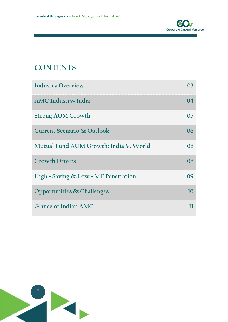

## **CONTENTS**

| <b>Industry Overview</b>               | 03 |  |
|----------------------------------------|----|--|
| <b>AMC Industry- India</b>             | 04 |  |
| <b>Strong AUM Growth</b>               | 05 |  |
| Current Scenario & Outlook             | 06 |  |
| Mutual Fund AUM Growth: India V. World | 08 |  |
| <b>Growth Drivers</b>                  | 08 |  |
| High - Saving & Low - MF Penetration   | 09 |  |
| Opportunities & Challenges             | 10 |  |
| <b>Glance of Indian AMC</b>            | 11 |  |

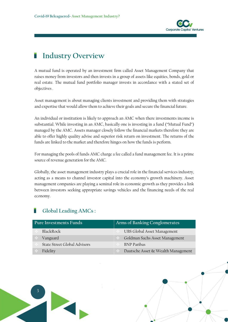

## **Industry Overview**

A mutual fund is operated by an investment firm called Asset Management Company that raises money from investors and then invests in a group of assets like equities, bonds, gold or real estate. The mutual fund portfolio manager invests in accordance with a stated set of objectives .

Asset management is about managing clients investment and providing them with strategies and expertise that would allow them to achieve their goals and secure the financial future.

An individual or institution is likely to approach an AMC when there investments income is substantial. While investing in an AMC, basically one is investing in a fund ("Mutual Fund") managed bythe AMC. Assets manager closely follow the financial markets therefore they are able to offer highly quality advise and superior risk return on investment. The returns of the funds are linked to the market and therefore hinges on how the funds is perform.

For managing the pools of funds AMC charge a feecalled a fund management fee. It is a prime source of revenue generation for the AMC.

Globally, the asset management industry plays a crucial role in the financial services industry, acting as a means to channel investor capital into the economy's growth machinery. Asset management companies are playing a seminal role in economic growth as they provides a link between investors seeking appropriate savings vehicles and the financing needs of the real economy.

## **Global Leading AMCs :**

| Pure Investments Funds       | Arms of Banking Conglomerates      |  |  |
|------------------------------|------------------------------------|--|--|
| BlackRock                    | UBS Global Asset Management        |  |  |
| Vanguard                     | Goldman Sachs Asset Management     |  |  |
| State Street Global Advisors | <b>BNP</b> Paribas                 |  |  |
| Fidelity                     | Dautsche Asset & Wealth Management |  |  |

2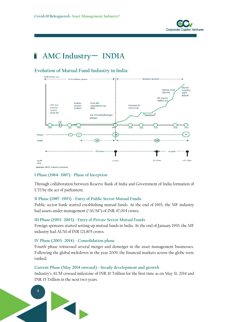

## **AMC Industry**- **INDIA**

## **Evolution of Mutual Fund Industry in India:**



Sources: AMFI, Industry research.

#### **I Phase (1964- 1987) - Phase of Inception**

Through collaboration between Reserve Bank of India and Government of India formation of UTI by the act of parliament.

#### **II Phase (1987- 1993) - Entry of Public Sector Mutual Funds**

Public sector bank started establishing mutual funds. At the end of 1993, the MF industry had assets under management ("AUM") of INR 47,004 crores.

#### **III Phase (1993- 2003) - Entry of Private Sector Mutual Funds**

Foreign sponsors started setting up mutual funds in India. At the end of January 1993, the MF industry had AUM of INR 121,805 crores.

#### **IV Phase (2003- 2014) - Consolidation phase**

Fourth phase witnessed several merger and demerger in the asset management businesses. Following the global meltdown in the year 2009, the financial markets across the globe were tanked.

### **Current Phase (May 2014 onward) - Steady development and growth**

Industry's AUM crossed milestone of INR 10 Trillion for the first time as on May 31, 2014 and INR 15 Trillion in the next two years.

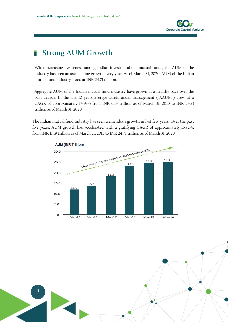

## **Strong AUM Growth**

With increasing awareness among Indian investors about mutual funds, the AUM of the industry has seen an astonishing growth every year. As of March 31, 2020, AUM of the Indian mutual fund industry stood at INR 24.71 trillion.

Aggregate AUM of the Indian mutual fund industry have grown at a healthy pace over the past decade. In the last 10 years average assets under management ("AAUM") grew at a CAGR of approximately 14.93% from INR 6.14 trillion as of March 31, 2010 to INR 24.71 trillion as of March 31, 2020.

The Indian mutual fund industry has seen tremendous growth in last few years. Over the past five years, AUM growth has accelerated with a gratifying CAGR of approximately 15.72%, from INR 11.19 trillion as of March 31, 2015 to INR 24.71 trillion as of March 31,2020.



51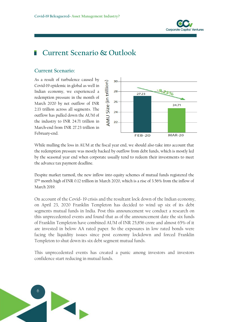

## **Current Scenario & Outlook**

## **Current Scenario:**

As a result of turbulence caused by<br>
Covid-19 epidemic in global as well in<br>
Indian economy, we experienced a<br>
redemption pressure in the month of<br>
March 2020 by net outflow of INR<br>
2.13 trillion across all segments. The<br> Covid-19 epidemic in global as well in Indian economy, we experienced a  $\frac{1}{2}$  28  $\frac{1}{27.23}$ redemption pressure in the month of March 2020 by net outflow of INR 2.13 trillion across all segments. The  $\frac{N}{10}$  24 outflow has pulled down the AUM of the industry to INR 24.71 trillion in  $\sum_{n=1}^{\infty}$  22 March-end from INR 27.23 trillion in February-end.



While mulling the loss in AUM at the fiscal year end, we should also take into account that the redemption pressure was mostly backed by outflow from debt funds, which is mostly led by the seasonal year end when corporate usually tend to redeem their investments to meet the advance tax payment deadline.

Despite market turmoil, the new inflow into equity schemes of mutual funds registered the 17<sup>th</sup> month high of INR 0.12 trillion in March 2020, which is a rise of 3.56% from the inflow of March 2019.

On account of the Covid- 19 crisis and the resultant lock down of the Indian economy, on April 23, 2020 Franklin Templeton has decided to wind up six of its debt segments mutual funds in India. Post this announcement we conduct a research on this unprecedented events and found that as of the announcement date the six funds of Franklin Templeton have combined AUM of INR 25,856 crore and almost 65% of it are invested in below AA rated paper. So the exposures in low rated bonds were facing the liquidity issues since post economy lockdown and forced Franklin Templeton to shut down its six debt segment mutual funds.

This unprecedented events has created a panic among investors and investors confidence start reducing in mutual funds.

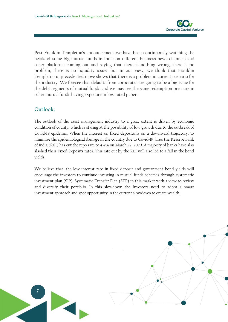

Post Franklin Templeton's announcement we have been continuously watching the heads of some big mutual funds in India on different business news channels and other platforms coming out and saying that there is nothing wrong, there is no problem, there is no liquidity issues but in our view, we think that Franklin Templeton unprecedented move shows that there is a problem in current scenario for the industry. We foresee that defaults from corporates are going to be a big issue for the debt segments of mutual funds and we may see the same redemption pressure in other mutual funds having exposure in low rated papers.

## **Outlook:**

The outlook of the asset management industry to a great extent is driven by economic condition of county, which is staring at the possibility of low growth due to the outbreak of Covid-19 epidemic. When the interest on fixed deposits is on a downward trajectory, to minimise the epidemiological damage in the country due to Covid-19 virus the Reserve Bank of India (RBI) has cut the repo rate to 4.4% on March 27, 2020. A majority of banks have also slashed their Fixed Deposits rates. This rate cut by the RBI will also led to afall in the bond yields.

We believe that, the low interest rate in fixed deposit and government bond yields will encourage the investors to continue investing in mutual funds schemes through systematic investment plan (SIP). Systematic Transfer Plan (STP) in this market with a view to review and diversify their portfolio. In this slowdown the Investors need to adopt a smart investment approach and spot opportunity in the current slowdown to create wealth.

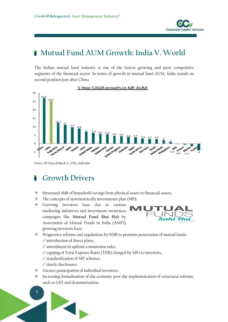

#### **Mutual Fund AUM Growth: India V. World** ۳

The Indian mutual fund industry is one of the fastest growing and most competitive segments of the financial sector. In terms of growth in mutual fund AUM, India stands on second position just after China.



5 Year CAGR growth in MF AUM

*Source: IIFA (as of March 31, 2019), Amfiindia*

## **Growth Drivers**

- $\diamond$  Structural shift of household savings from physical assets to financial assets;
- $\Diamond$  The concepts of systemattically investments plan (SIP);
- $\triangle$  Growing investors base due to various marketing initiatives and investment awareness campaigns like **Mutual Fund Shai Hai!** by Association of Mutual Funds in India (AMFI) growing investors base;



- $\Diamond$  Progressive reforms and regulations by SEBI to promote penetration of mutual funds: √ introduction of direct plans,
	- √ amendment in upfront commission rules,
	- √ capping of Total Expense Ratio (TER) charged by MFs to investors,
	- √ standardization of MF schemes,
	- √ timely disclosures
- $\Diamond$  Greater participation of individual investors;
- $\Diamond$  Increasing formalisation of the economy post the implementation of structural reforms, such as GST and demonetisation;

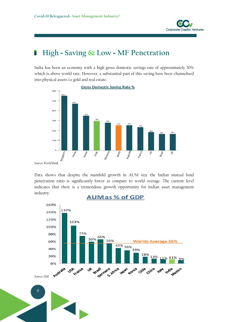

#### **High - Saving & Low - MF Penetration** r

India has been an economy with a high gross domestic savings rate of approximately 30% which is above world rate. However, a substantial part of this saving have been channelised into physical assets i.e gold and real estate.



*Source: World Bank*

Data shows that despite the manifold growth in AUM size the Indian mutual fund penetration ratio is significantly lower as compare to world average. The current level indicates that there is a tremendous growth opportunity for Indian asset management industry.



**AUMas % of GDP**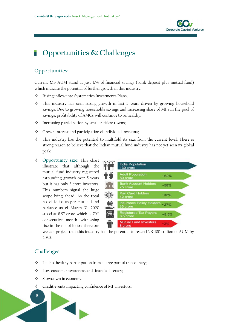

## **Opportunities & Challenges**

## **Opportunities:**

Current MF AUM stand at just 17% of financial savings (bank deposit plus mutual fund) which indicate the potential of further growth in this industry;

- $\Diamond$  Rising inflow into Systematics Investments Plans;
- $\triangle$  This industry has seen strong growth in last 5 years driven by growing household savings. Due to growing households savings and increasing share of MFs in the pool of savings, profitability of AMCs will continue to be healthy;
- $\Diamond$  Increasing participation by smaller cities/ towns;
- $\diamond$  Grown interest and participation of individual investors;
- $\diamond$  This industry has the potential to multifold its size from the current level. There is strong reason to believe that the Indian mutual fund industry has not yet seen its global peak .
- **◆** Opportunity size: This chart<br>
illustrate that although the **Community** India Population illustrate that although the **non-**  $\frac{1}{130}$  crore mutual fund industry registered **FIFT** Adult Population astounding growth over 5 years  $\frac{1}{2}$   $\frac{1}{2}$   $\frac{1}{2}$  80 crore but it has only 3 crore investors. This numbers signal the huge<br>
Pan Card Holders scope lying ahead. As the total parlance as of March 31, 2020  $\sqrt{35}$  crore stood at 8.97 crore which is  $70<sup>th</sup>$   $\bigcirc$  Registered Tax Payers consecutive month witnessing **CONSECUTER Mutual Fund Investers** rise in the no. of folios, therefore



we can project that this industry has the potential to reach INR 100 trillion of AUM by 2030.

## **Challenges:**

10

- $\Diamond$  Lack of healthy participation from a large part of the country;
- $\Diamond$  Low customer awareness and financial literacy;

- $\diamond$  Slowdown in economy;
- $\Diamond$  Credit events impacting confidence of MF investors;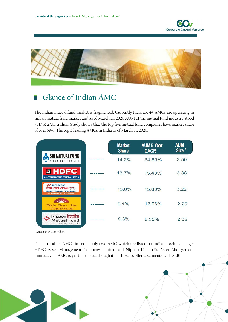



#### **Glance of Indian AMC** ۳

The Indian mutual fund market is fragmented. Currently there are 44 AMCs are operating in Indian mutual fund market and as of March 31, 2020 AUM of the mutual fund industry stood at INR 27.01 trillion. Study shows that the top five mutual fund companies have market share of over 58%. The top 5 leading AMCs in India as of March 31, 2020:

|                                                                                            | <b>Market</b><br><b>Share</b> | <b>AUM 5 Year</b><br><b>CAGR</b> | <b>AUM</b><br>Size <sup>*</sup> |
|--------------------------------------------------------------------------------------------|-------------------------------|----------------------------------|---------------------------------|
| <b>SBI MUTUAL FUND</b><br>$\mathbf{u}$<br>F O R<br>PARTNER<br>I.FF                         | 14.2%                         | 34.89%                           | 3.50                            |
| <b>EIHDFC</b><br><b>ASSET MANAGEMENT COMPANY LIMITED</b>                                   | 13.7%                         | 15.43%                           | 3.38                            |
| <i><b>AICICI</b></i><br><b>PRUDENTIAL</b><br><b>MUTUAL FUND</b><br><b>FTARAKKI KAREINI</b> | 13.0%                         | 15.88%                           | 3.22                            |
| $\mathbf{u}$<br><b>Birla Sun Life</b><br><b>Mutual Fund</b>                                | 9.1%                          | 12.96%                           | 2.25                            |
| <b>Nippon</b> india<br>Mutual Fund<br>Wealth sets you free                                 | 8.3%                          | 8.35%                            | 2.05                            |

*\*Amount in INR , in trillion.*

Out of total 44 AMCs in India, only two AMC which are listed on Indian stock exchange-HDFC Asset Management Company Limited and Nippon Life India Asset Management Limited. UTI AMC is yet to be listed though it has filed its offer documents with SEBI.

11

**PA**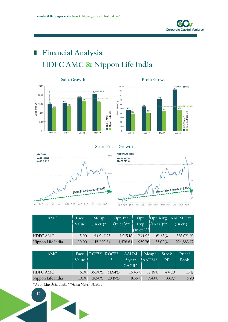

## **Financial Analysis:** г **HDFC AMC & Nippon Life India**





#### **Share Price - Growth**



| AMC.              | Face  | MCap         |               |                                |                                           | Opr. Inc.   Opr.   Opr. Mrg.   AAUM Size |
|-------------------|-------|--------------|---------------|--------------------------------|-------------------------------------------|------------------------------------------|
|                   | Value | $(\ln cr)^*$ | $(\ln cr.)**$ | Exp.                           | $\left( \text{In } \text{cr.} \right)$ ** | $(\ln cr.)$                              |
|                   |       |              |               | $(\text{In } \text{cr.})^{**}$ |                                           |                                          |
| <b>HDFC AMC</b>   | 5.00  | 44,947.25    | 1,915.18      | 734.93                         | $61.63\%$                                 | 338,071.70                               |
| Nippon Life India | 10.00 | 15,229.34    | 1,478.64      | 959.76                         | 35.09%                                    | 204,883.72                               |

| AMC               | Face<br>Value |             | ROE** ROCE*<br>$\ast$ | <b>AAUM</b><br>5 year<br>$CAGR*$ | Meap/ Stock<br>$AAUM*$ | <b>PE</b> | Price/<br><b>Book</b> |
|-------------------|---------------|-------------|-----------------------|----------------------------------|------------------------|-----------|-----------------------|
| <b>HDFC AMC</b>   |               | 5.00 35.00% | 51.64%                | 15.43%                           | 12.16%                 | 44.20     | 13.17                 |
| Nippon Life India | 10.00         |             | 19.50% 28.19%         | $8.35\%$                         | $7.43\%$               | 33.07     | 5.90                  |

*\* As onMarch 31, 2020; \* \*As on March 31, 2019*

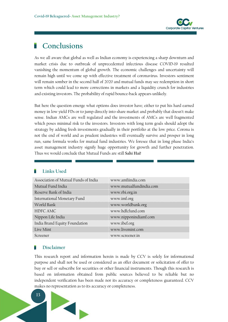

## **Conclusions**

As we all aware that global as well as Indian economy is experiencing a sharp downturn and market crisis due to outbreak of unprecedented infectious disease COVID-19 resulted vanishing the momentum of global growth. The economic challenges and uncertainty will remain high until we come up with effective treatment of coronavirus. Investors sentiment will remain somber in the second half of 2020 and mutual funds may see redemption in short term which could lead to more corrections in markets and a liquidity crunch for industries and existing investors. The probability of rapid bounce-back appears unlikely.

But here the question emerge what options does investor have; either to put his hard earned money in low yield FDs or to jump directly into share market and probably that doesn't make sense. Indian AMCs are well regulated and the investments of AMCs are well fragmented which poses minimal risk to the investors. Investors with long term goals should adopt the strategy by adding fresh investments gradually in their portfolio at the low price. Corona is not the end of world and as prudent industries will eventually survive and prosper in long run, same formula works for mutual fund industries. We foresee that in long phase India's asset management industry signify huge opportunity for growth and further penetration. Thus we would conclude that Mutual Funds are still **Sahi Hai!**

## **Links Used**

| Association of Mutual Funds of India | www.amfiindia.com       |
|--------------------------------------|-------------------------|
| Mutual Fund India                    | www.mutualfundindia.com |
| Reserve Bank of India                | www.rbi.org.in          |
| International Monetary Fund          | www.imf.org             |
| World Bank                           | www.worldbank.org       |
| HDFC AMC                             | www.hdfcfund.com        |
| Nippon Life India                    | www.nipponindiamf.com   |
| India Brand Equity Foundation        | www.ibef.org            |
| Live Mint                            | www.livemint.com        |
| Screener                             | www.screener.in         |

## **Disclaimer**

This research report and information herein is made by CCV is solely for informational purpose and shall not be used or considered as an offer document or solicitation of offer to buy or sell or subscribe for securities or other financial instruments. Though this research is based on information obtained from public sources believed to be reliable but no independent verification has been made nor its accuracy or completeness guaranteed. CCV makes no representation as to its accuracy or completeness.